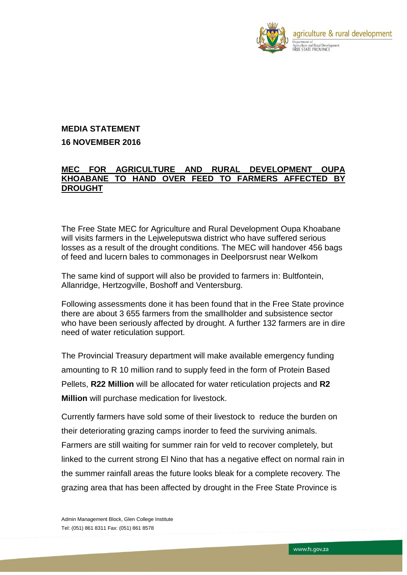

## **MEDIA STATEMENT 16 NOVEMBER 2016**

## **MEC FOR AGRICULTURE AND RURAL DEVELOPMENT OUPA KHOABANE TO HAND OVER FEED TO FARMERS AFFECTED BY DROUGHT**

The Free State MEC for Agriculture and Rural Development Oupa Khoabane will visits farmers in the Lejweleputswa district who have suffered serious losses as a result of the drought conditions. The MEC will handover 456 bags of feed and lucern bales to commonages in Deelporsrust near Welkom

The same kind of support will also be provided to farmers in: Bultfontein, Allanridge, Hertzogville, Boshoff and Ventersburg.

Following assessments done it has been found that in the Free State province there are about 3 655 farmers from the smallholder and subsistence sector who have been seriously affected by drought. A further 132 farmers are in dire need of water reticulation support.

The Provincial Treasury department will make available emergency funding amounting to R 10 million rand to supply feed in the form of Protein Based Pellets, **R22 Million** will be allocated for water reticulation projects and **R2 Million** will purchase medication for livestock.

Currently farmers have sold some of their livestock to reduce the burden on their deteriorating grazing camps inorder to feed the surviving animals. Farmers are still waiting for summer rain for veld to recover completely, but linked to the current strong El Nino that has a negative effect on normal rain in the summer rainfall areas the future looks bleak for a complete recovery. The grazing area that has been affected by drought in the Free State Province is

Admin Management Block, Glen College Institute Tel: (051) 861 8311 Fax: (051) 861 8578